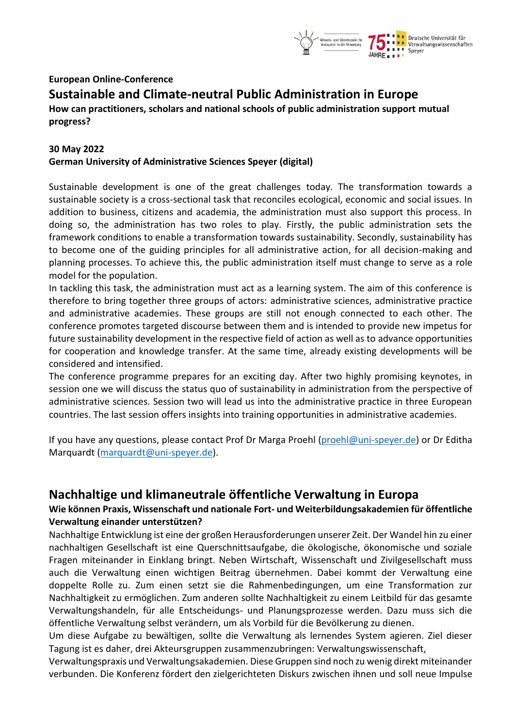

# **European Online-Conference Sustainable and Climate-neutral Public Administration in Europe**

**How can practitioners, scholars and national schools of public administration support mutual progress?**

### **30 May 2022 German University of Administrative Sciences Speyer (digital)**

Sustainable development is one of the great challenges today. The transformation towards a sustainable society is a cross-sectional task that reconciles ecological, economic and social issues. In addition to business, citizens and academia, the administration must also support this process. In doing so, the administration has two roles to play. Firstly, the public administration sets the framework conditions to enable a transformation towards sustainability. Secondly, sustainability has to become one of the guiding principles for all administrative action, for all decision-making and planning processes. To achieve this, the public administration itself must change to serve as a role model for the population.

In tackling this task, the administration must act as a learning system. The aim of this conference is therefore to bring together three groups of actors: administrative sciences, administrative practice and administrative academies. These groups are still not enough connected to each other. The conference promotes targeted discourse between them and is intended to provide new impetus for future sustainability development in the respective field of action as well as to advance opportunities for cooperation and knowledge transfer. At the same time, already existing developments will be considered and intensified.

The conference programme prepares for an exciting day. After two highly promising keynotes, in session one we will discuss the status quo of sustainability in administration from the perspective of administrative sciences. Session two will lead us into the administrative practice in three European countries. The last session offers insights into training opportunities in administrative academies.

If you have any questions, please contact Prof Dr Marga Proehl [\(proehl@uni-speyer.de\)](mailto:proehl@uni-speyer.de) or Dr Editha Marquardt [\(marquardt@uni-speyer.de\)](mailto:marquardt@uni-speyer.de).

## **Nachhaltige und klimaneutrale öffentliche Verwaltung in Europa**

## **Wie können Praxis, Wissenschaft und nationale Fort- und Weiterbildungsakademien für öffentliche Verwaltung einander unterstützen?**

Nachhaltige Entwicklung ist eine der großen Herausforderungen unserer Zeit. Der Wandel hin zu einer nachhaltigen Gesellschaft ist eine Querschnittsaufgabe, die ökologische, ökonomische und soziale Fragen miteinander in Einklang bringt. Neben Wirtschaft, Wissenschaft und Zivilgesellschaft muss auch die Verwaltung einen wichtigen Beitrag übernehmen. Dabei kommt der Verwaltung eine doppelte Rolle zu. Zum einen setzt sie die Rahmenbedingungen, um eine Transformation zur Nachhaltigkeit zu ermöglichen. Zum anderen sollte Nachhaltigkeit zu einem Leitbild für das gesamte Verwaltungshandeln, für alle Entscheidungs- und Planungsprozesse werden. Dazu muss sich die öffentliche Verwaltung selbst verändern, um als Vorbild für die Bevölkerung zu dienen.

Um diese Aufgabe zu bewältigen, sollte die Verwaltung als lernendes System agieren. Ziel dieser Tagung ist es daher, drei Akteursgruppen zusammenzubringen: Verwaltungswissenschaft,

Verwaltungspraxis und Verwaltungsakademien. Diese Gruppen sind noch zu wenig direkt miteinander verbunden. Die Konferenz fördert den zielgerichteten Diskurs zwischen ihnen und soll neue Impulse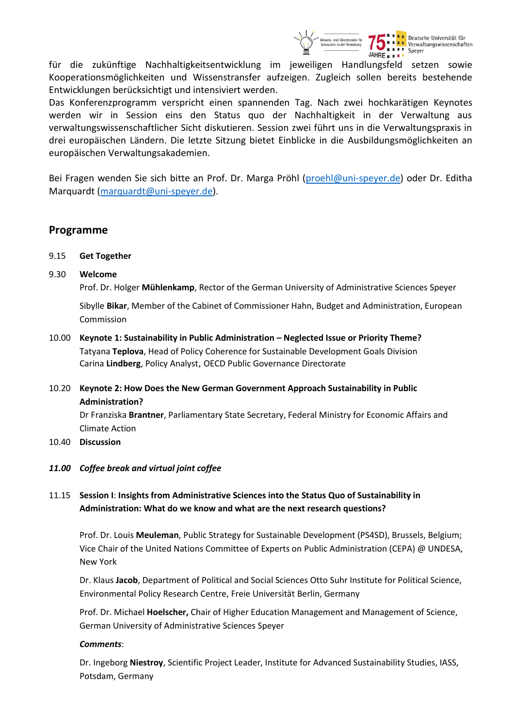

Deutsche Universität für Verwaltungswissenschaften

für die zukünftige Nachhaltigkeitsentwicklung im jeweiligen Handlungsfeld setzen sowie Kooperationsmöglichkeiten und Wissenstransfer aufzeigen. Zugleich sollen bereits bestehende Entwicklungen berücksichtigt und intensiviert werden.

Das Konferenzprogramm verspricht einen spannenden Tag. Nach zwei hochkarätigen Keynotes werden wir in Session eins den Status quo der Nachhaltigkeit in der Verwaltung aus verwaltungswissenschaftlicher Sicht diskutieren. Session zwei führt uns in die Verwaltungspraxis in drei europäischen Ländern. Die letzte Sitzung bietet Einblicke in die Ausbildungsmöglichkeiten an europäischen Verwaltungsakademien.

Bei Fragen wenden Sie sich bitte an Prof. Dr. Marga Pröhl [\(proehl@uni-speyer.de\)](mailto:proehl@uni-speyer.de) oder Dr. Editha Marquardt [\(marquardt@uni-speyer.de\)](mailto:marquardt@uni-speyer.de).

## **Programme**

- 9.15 **Get Together**
- 9.30 **Welcome**

Prof. Dr. Holger **Mühlenkamp**, Rector of the German University of Administrative Sciences Speyer

Sibylle **Bikar**, Member of the Cabinet of Commissioner Hahn, Budget and Administration, European Commission

- 10.00 **Keynote 1: Sustainability in Public Administration – Neglected Issue or Priority Theme?** Tatyana **Teplova**, Head of Policy Coherence for Sustainable Development Goals Division Carina **Lindberg**, Policy Analyst, OECD Public Governance Directorate
- 10.20 **Keynote 2: How Does the New German Government Approach Sustainability in Public Administration?**

Dr Franziska **Brantner**, Parliamentary State Secretary, Federal Ministry for Economic Affairs and Climate Action

- 10.40 **Discussion**
- *11.00 Coffee break and virtual joint coffee*

## 11.15 **Session I**: **Insights from Administrative Sciences into the Status Quo of Sustainability in Administration: What do we know and what are the next research questions?**

Prof. Dr. Louis **Meuleman**, Public Strategy for Sustainable Development (PS4SD), Brussels, Belgium; Vice Chair of the United Nations Committee of Experts on Public Administration (CEPA) @ UNDESA, New York

Dr. Klaus **Jacob**, Department of Political and Social Sciences Otto Suhr Institute for Political Science, Environmental Policy Research Centre, Freie Universität Berlin, Germany

Prof. Dr. Michael **Hoelscher,** Chair of Higher Education Management and Management of Science, German University of Administrative Sciences Speyer

#### *Comments*:

Dr. Ingeborg **Niestroy**, Scientific Project Leader, Institute for Advanced Sustainability Studies, IASS, Potsdam, Germany